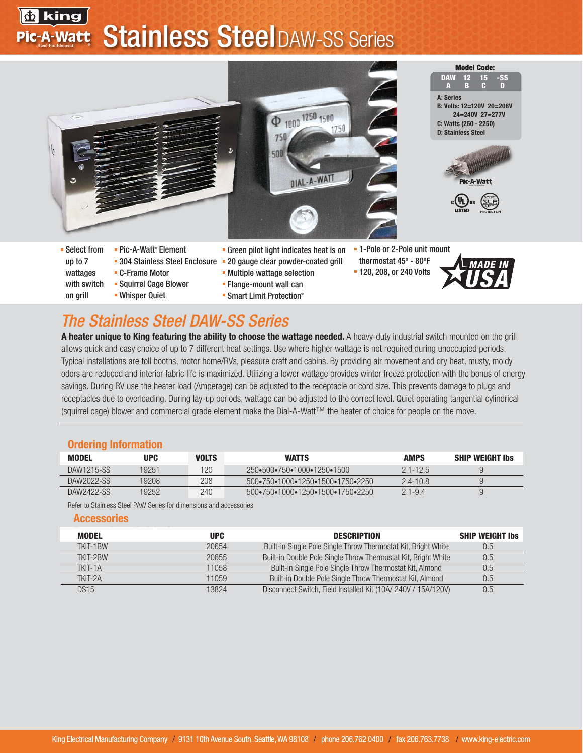## <mark>壶</mark> king **Stainless SteelDAW-SS Series** Pic-A-Watt



■ Smart Limit Protection®

# *The Stainless Steel DAW-SS Series*

Whisper Quiet

A heater unique to King featuring the ability to choose the wattage needed. A heavy-duty industrial switch mounted on the grill allows quick and easy choice of up to 7 different heat settings. Use where higher wattage is not required during unoccupied periods. Typical installations are toll booths, motor home/RVs, pleasure craft and cabins. By providing air movement and dry heat, musty, moldy odors are reduced and interior fabric life is maximized. Utilizing a lower wattage provides winter freeze protection with the bonus of energy savings. During RV use the heater load (Amperage) can be adjusted to the receptacle or cord size. This prevents damage to plugs and receptacles due to overloading. During lay-up periods, wattage can be adjusted to the correct level. Quiet operating tangential cylindrical (squirrel cage) blower and commercial grade element make the Dial-A-Watt™ the heater of choice for people on the move.

#### Ordering Information

on grill

| <b>MODEL</b> | UPC   | <b>VOLTS</b> | <b>WATTS</b>                                                           | <b>AMPS</b>  | <b>SHIP WEIGHT Ibs</b> |
|--------------|-------|--------------|------------------------------------------------------------------------|--------------|------------------------|
| DAW1215-SS   | 19251 | 120.         | 250 - 500 - 750 - 1000 - 1250 - 1500                                   | $2.1 - 12.5$ | ч                      |
| DAW2022-SS   | 19208 | 208          | $500 \cdot 750 \cdot 1000 \cdot 1250 \cdot 1500 \cdot 1750 \cdot 2250$ | $2.4 - 10.8$ | u                      |
| DAW2422-SS   | 19252 | 240          | 500•750•1000•1250•1500•1750•2250                                       | $21 - 94$    | ч                      |

Refer to Stainless Steel PAW Series for dimensions and accessories

#### Accessories

| MODEL    | <b>UPC</b> | <b>DESCRIPTION</b>                                             | <b>SHIP WEIGHT Ibs</b> |
|----------|------------|----------------------------------------------------------------|------------------------|
| TKIT-1BW | 20654      | Built-in Single Pole Single Throw Thermostat Kit, Bright White | 0.5                    |
| TKIT-2RW | 20655      | Built-in Double Pole Single Throw Thermostat Kit, Bright White | 0.5                    |
| TKIT-1A  | 11058      | Built-in Single Pole Single Throw Thermostat Kit, Almond       | U.5                    |
| TKIT-2A  | 11059      | Built-in Double Pole Single Throw Thermostat Kit, Almond       | 0.5                    |
| DS15     | 13824      | Disconnect Switch, Field Installed Kit (10A/240V / 15A/120V)   | $0.5\,$                |